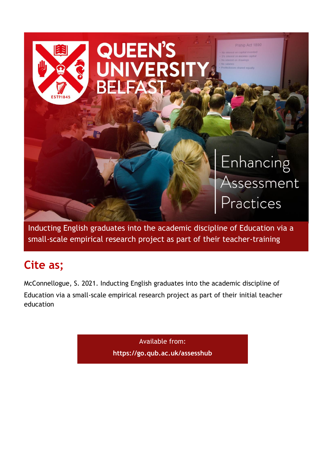

Inducting English graduates into the academic discipline of Education via a small-scale empirical research project as part of their teacher-training

# **Cite as;**

McConnellogue, S. 2021. Inducting English graduates into the academic discipline of Education via a small-scale empirical research project as part of their initial teacher education

> Available from: **<https://go.qub.ac.uk/assesshub>**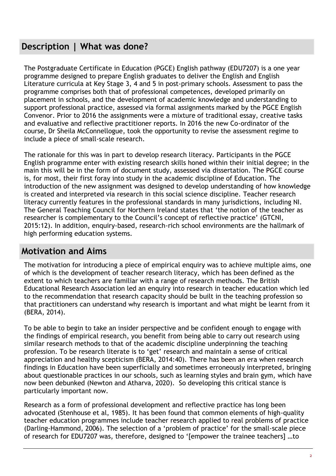## **Description | What was done?**

The Postgraduate Certificate in Education (PGCE) English pathway (EDU7207) is a one year programme designed to prepare English graduates to deliver the English and English Literature curricula at Key Stage 3, 4 and 5 in post-primary schools. Assessment to pass the programme comprises both that of professional competences, developed primarily on placement in schools, and the development of academic knowledge and understanding to support professional practice, assessed via formal assignments marked by the PGCE English Convenor. Prior to 2016 the assignments were a mixture of traditional essay, creative tasks and evaluative and reflective practitioner reports. In 2016 the new Co-ordinator of the course, Dr Sheila McConnellogue, took the opportunity to revise the assessment regime to include a piece of small-scale research.

The rationale for this was in part to develop research literacy. Participants in the PGCE English programme enter with existing research skills honed within their initial degree; in the main this will be in the form of document study, assessed via dissertation. The PGCE course is, for most, their first foray into study in the academic discipline of Education. The introduction of the new assignment was designed to develop understanding of how knowledge is created and interpreted via research in this social science discipline. Teacher research literacy currently features in the professional standards in many jurisdictions, including NI. The General Teaching Council for Northern Ireland states that 'the notion of the teacher as researcher is complementary to the Council's concept of reflective practice' (GTCNI, 2015:12). In addition, enquiry-based, research-rich school environments are the hallmark of high performing education systems.

## **Motivation and Aims**

The motivation for introducing a piece of empirical enquiry was to achieve multiple aims, one of which is the development of teacher research literacy, which has been defined as the extent to which teachers are familiar with a range of research methods. The British Educational Research Association led an enquiry into research in teacher education which led to the recommendation that research capacity should be built in the teaching profession so that practitioners can understand why research is important and what might be learnt from it (BERA, 2014).

To be able to begin to take an insider perspective and be confident enough to engage with the findings of empirical research, you benefit from being able to carry out research using similar research methods to that of the academic discipline underpinning the teaching profession. To be research literate is to 'get' research and maintain a sense of critical appreciation and healthy scepticism (BERA, 2014:40). There has been an era when research findings in Education have been superficially and sometimes erroneously interpreted, bringing about questionable practices in our schools, such as learning styles and brain gym, which have now been debunked (Newton and Atharva, 2020). So developing this critical stance is particularly important now.

Research as a form of professional development and reflective practice has long been advocated (Stenhouse et al, 1985). It has been found that common elements of high-quality teacher education programmes include teacher research applied to real problems of practice (Darling-Hammond, 2006). The selection of a 'problem of practice' for the small-scale piece of research for EDU7207 was, therefore, designed to '[empower the trainee teachers] …to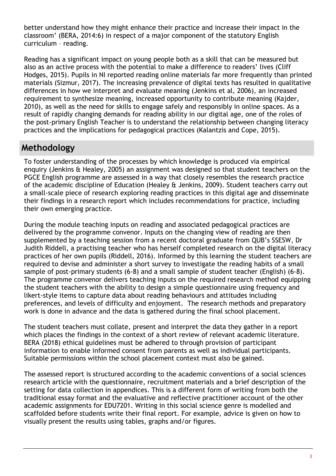better understand how they might enhance their practice and increase their impact in the classroom' (BERA, 2014:6) in respect of a major component of the statutory English curriculum – reading.

Reading has a significant impact on young people both as a skill that can be measured but also as an active process with the potential to make a difference to readers' lives (Cliff Hodges, 2015). Pupils in NI reported reading online materials far more frequently than printed materials (Sizmur, 2017). The increasing prevalence of digital texts has resulted in qualitative differences in how we interpret and evaluate meaning (Jenkins et al, 2006), an increased requirement to synthesize meaning, increased opportunity to contribute meaning (Kajder, 2010), as well as the need for skills to engage safely and responsibly in online spaces. As a result of rapidly changing demands for reading ability in our digital age, one of the roles of the post-primary English Teacher is to understand the relationship between changing literacy practices and the implications for pedagogical practices (Kalantzis and Cope, 2015).

## **Methodology**

To foster understanding of the processes by which knowledge is produced via empirical enquiry (Jenkins & Healey, 2005) an assignment was designed so that student teachers on the PGCE English programme are assessed in a way that closely resembles the research practice of the academic discipline of Education (Healey & Jenkins, 2009). Student teachers carry out a small-scale piece of research exploring reading practices in this digital age and disseminate their findings in a research report which includes recommendations for practice, including their own emerging practice.

During the module teaching inputs on reading and associated pedagogical practices are delivered by the programme convenor. Inputs on the changing view of reading are then supplemented by a teaching session from a recent doctoral graduate from QUB's SSESW, Dr Judith Riddell, a practising teacher who has herself completed research on the digital literacy practices of her own pupils (Riddell, 2016). Informed by this learning the student teachers are required to devise and administer a short survey to investigate the reading habits of a small sample of post-primary students (6-8) and a small sample of student teacher (English) (6-8). The programme convenor delivers teaching inputs on the required research method equipping the student teachers with the ability to design a simple questionnaire using frequency and likert-style items to capture data about reading behaviours and attitudes including preferences, and levels of difficulty and enjoyment. The research methods and preparatory work is done in advance and the data is gathered during the final school placement.

The student teachers must collate, present and interpret the data they gather in a report which places the findings in the context of a short review of relevant academic literature. BERA (2018) ethical guidelines must be adhered to through provision of participant information to enable informed consent from parents as well as individual participants. Suitable permissions within the school placement context must also be gained.

The assessed report is structured according to the academic conventions of a social sciences research article with the questionnaire, recruitment materials and a brief description of the setting for data collection in appendices. This is a different form of writing from both the traditional essay format and the evaluative and reflective practitioner account of the other academic assignments for EDU7201. Writing in this social science genre is modelled and scaffolded before students write their final report. For example, advice is given on how to visually present the results using tables, graphs and/or figures.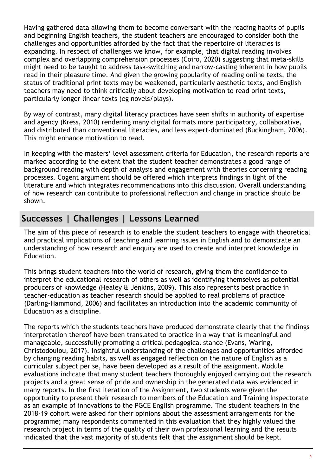Having gathered data allowing them to become conversant with the reading habits of pupils and beginning English teachers, the student teachers are encouraged to consider both the challenges and opportunities afforded by the fact that the repertoire of literacies is expanding. In respect of challenges we know, for example, that digital reading involves complex and overlapping comprehension processes (Coiro, 2020) suggesting that meta-skills might need to be taught to address task-switching and narrow-casting inherent in how pupils read in their pleasure time. And given the growing popularity of reading online texts, the status of traditional print texts may be weakened, particularly aesthetic texts, and English teachers may need to think critically about developing motivation to read print texts, particularly longer linear texts (eg novels/plays).

By way of contrast, many digital literacy practices have seen shifts in authority of expertise and agency (Kress, 2010) rendering many digital formats more participatory, collaborative, and distributed than conventional literacies, and less expert-dominated (Buckingham, 2006). This might enhance motivation to read.

In keeping with the masters' level assessment criteria for Education, the research reports are marked according to the extent that the student teacher demonstrates a good range of background reading with depth of analysis and engagement with theories concerning reading processes. Cogent argument should be offered which interprets findings in light of the literature and which integrates recommendations into this discussion. Overall understanding of how research can contribute to professional reflection and change in practice should be shown.

# **Successes | Challenges | Lessons Learned**

The aim of this piece of research is to enable the student teachers to engage with theoretical and practical implications of teaching and learning issues in English and to demonstrate an understanding of how research and enquiry are used to create and interpret knowledge in Education.

This brings student teachers into the world of research, giving them the confidence to interpret the educational research of others as well as identifying themselves as potential producers of knowledge (Healey & Jenkins, 2009). This also represents best practice in teacher-education as teacher research should be applied to real problems of practice (Darling-Hammond, 2006) and facilitates an introduction into the academic community of Education as a discipline.

The reports which the students teachers have produced demonstrate clearly that the findings interpretation thereof have been translated to practice in a way that is meaningful and manageable, successfully promoting a critical pedagogical stance (Evans, Waring, Christodoulou, 2017). Insightful understanding of the challenges and opportunities afforded by changing reading habits, as well as engaged reflection on the nature of English as a curricular subject per se, have been developed as a result of the assignment. Module evaluations indicate that many student teachers thoroughly enjoyed carrying out the research projects and a great sense of pride and ownership in the generated data was evidenced in many reports. In the first iteration of the Assignment, two students were given the opportunity to present their research to members of the Education and Training Inspectorate as an example of innovations to the PGCE English programme. The student teachers in the 2018-19 cohort were asked for their opinions about the assessment arrangements for the programme; many respondents commented in this evaluation that they highly valued the research project in terms of the quality of their own professional learning and the results indicated that the vast majority of students felt that the assignment should be kept.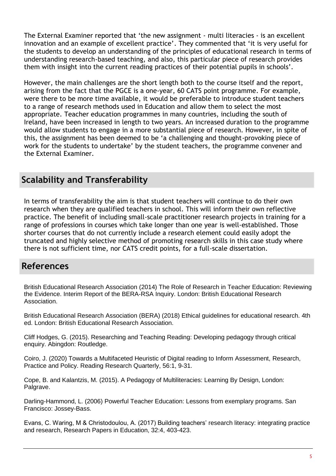The External Examiner reported that 'the new assignment - multi literacies - is an excellent innovation and an example of excellent practice'. They commented that 'it is very useful for the students to develop an understanding of the principles of educational research in terms of understanding research-based teaching, and also, this particular piece of research provides them with insight into the current reading practices of their potential pupils in schools'.

However, the main challenges are the short length both to the course itself and the report, arising from the fact that the PGCE is a one-year, 60 CATS point programme. For example, were there to be more time available, it would be preferable to introduce student teachers to a range of research methods used in Education and allow them to select the most appropriate. Teacher education programmes in many countries, including the south of Ireland, have been increased in length to two years. An increased duration to the programme would allow students to engage in a more substantial piece of research. However, in spite of this, the assignment has been deemed to be 'a challenging and thought-provoking piece of work for the students to undertake' by the student teachers, the programme convener and the External Examiner.

#### **Scalability and Transferability**

In terms of transferability the aim is that student teachers will continue to do their own research when they are qualified teachers in school. This will inform their own reflective practice. The benefit of including small-scale practitioner research projects in training for a range of professions in courses which take longer than one year is well-established. Those shorter courses that do not currently include a research element could easily adopt the truncated and highly selective method of promoting research skills in this case study where there is not sufficient time, nor CATS credit points, for a full-scale dissertation.

## **References**

British Educational Research Association (2014) The Role of Research in Teacher Education: Reviewing the Evidence. Interim Report of the BERA-RSA Inquiry. London: British Educational Research Association.

British Educational Research Association (BERA) (2018) Ethical guidelines for educational research. 4th ed. London: British Educational Research Association.

Cliff Hodges, G. (2015). Researching and Teaching Reading: Developing pedagogy through critical enquiry. Abingdon: Routledge.

Coiro, J. (2020) Towards a Multifaceted Heuristic of Digital reading to Inform Assessment, Research, Practice and Policy. Reading Research Quarterly, 56:1, 9-31.

Cope, B. and Kalantzis, M. (2015). A Pedagogy of Multiliteracies: Learning By Design, London: Palgrave.

Darling-Hammond, L. (2006) Powerful Teacher Education: Lessons from exemplary programs. San Francisco: Jossey-Bass.

Evans, C. Waring, M & Christodoulou, A. (2017) Building teachers' research literacy: integrating practice and research, Research Papers in Education, 32:4, 403-423.